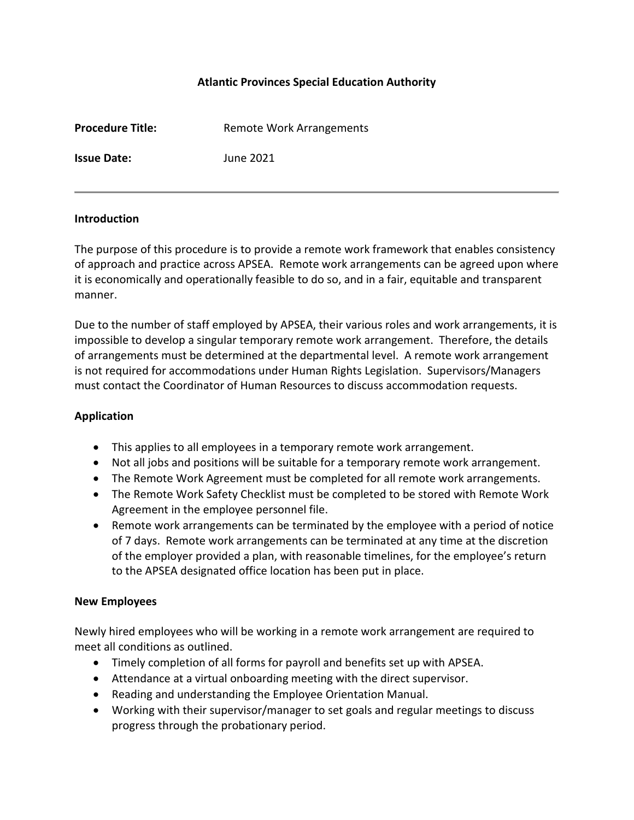## **Atlantic Provinces Special Education Authority**

| <b>Procedure Title:</b> | <b>Remote Work Arrangements</b> |
|-------------------------|---------------------------------|
| <b>Issue Date:</b>      | June 2021                       |

#### **Introduction**

The purpose of this procedure is to provide a remote work framework that enables consistency of approach and practice across APSEA. Remote work arrangements can be agreed upon where it is economically and operationally feasible to do so, and in a fair, equitable and transparent manner.

Due to the number of staff employed by APSEA, their various roles and work arrangements, it is impossible to develop a singular temporary remote work arrangement. Therefore, the details of arrangements must be determined at the departmental level. A remote work arrangement is not required for accommodations under Human Rights Legislation. Supervisors/Managers must contact the Coordinator of Human Resources to discuss accommodation requests.

#### **Application**

- This applies to all employees in a temporary remote work arrangement.
- Not all jobs and positions will be suitable for a temporary remote work arrangement.
- The Remote Work Agreement must be completed for all remote work arrangements.
- The Remote Work Safety Checklist must be completed to be stored with Remote Work Agreement in the employee personnel file.
- Remote work arrangements can be terminated by the employee with a period of notice of 7 days. Remote work arrangements can be terminated at any time at the discretion of the employer provided a plan, with reasonable timelines, for the employee's return to the APSEA designated office location has been put in place.

#### **New Employees**

Newly hired employees who will be working in a remote work arrangement are required to meet all conditions as outlined.

- Timely completion of all forms for payroll and benefits set up with APSEA.
- Attendance at a virtual onboarding meeting with the direct supervisor.
- Reading and understanding the Employee Orientation Manual.
- Working with their supervisor/manager to set goals and regular meetings to discuss progress through the probationary period.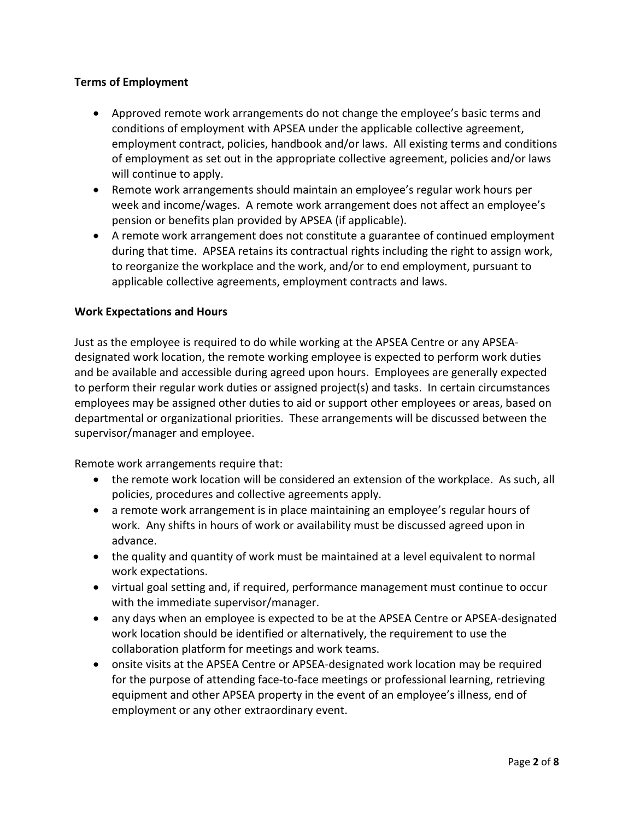## **Terms of Employment**

- Approved remote work arrangements do not change the employee's basic terms and conditions of employment with APSEA under the applicable collective agreement, employment contract, policies, handbook and/or laws. All existing terms and conditions of employment as set out in the appropriate collective agreement, policies and/or laws will continue to apply.
- Remote work arrangements should maintain an employee's regular work hours per week and income/wages. A remote work arrangement does not affect an employee's pension or benefits plan provided by APSEA (if applicable).
- A remote work arrangement does not constitute a guarantee of continued employment during that time. APSEA retains its contractual rights including the right to assign work, to reorganize the workplace and the work, and/or to end employment, pursuant to applicable collective agreements, employment contracts and laws.

### **Work Expectations and Hours**

Just as the employee is required to do while working at the APSEA Centre or any APSEAdesignated work location, the remote working employee is expected to perform work duties and be available and accessible during agreed upon hours. Employees are generally expected to perform their regular work duties or assigned project(s) and tasks. In certain circumstances employees may be assigned other duties to aid or support other employees or areas, based on departmental or organizational priorities. These arrangements will be discussed between the supervisor/manager and employee.

Remote work arrangements require that:

- the remote work location will be considered an extension of the workplace. As such, all policies, procedures and collective agreements apply.
- a remote work arrangement is in place maintaining an employee's regular hours of work. Any shifts in hours of work or availability must be discussed agreed upon in advance.
- the quality and quantity of work must be maintained at a level equivalent to normal work expectations.
- virtual goal setting and, if required, performance management must continue to occur with the immediate supervisor/manager.
- any days when an employee is expected to be at the APSEA Centre or APSEA-designated work location should be identified or alternatively, the requirement to use the collaboration platform for meetings and work teams.
- onsite visits at the APSEA Centre or APSEA-designated work location may be required for the purpose of attending face-to-face meetings or professional learning, retrieving equipment and other APSEA property in the event of an employee's illness, end of employment or any other extraordinary event.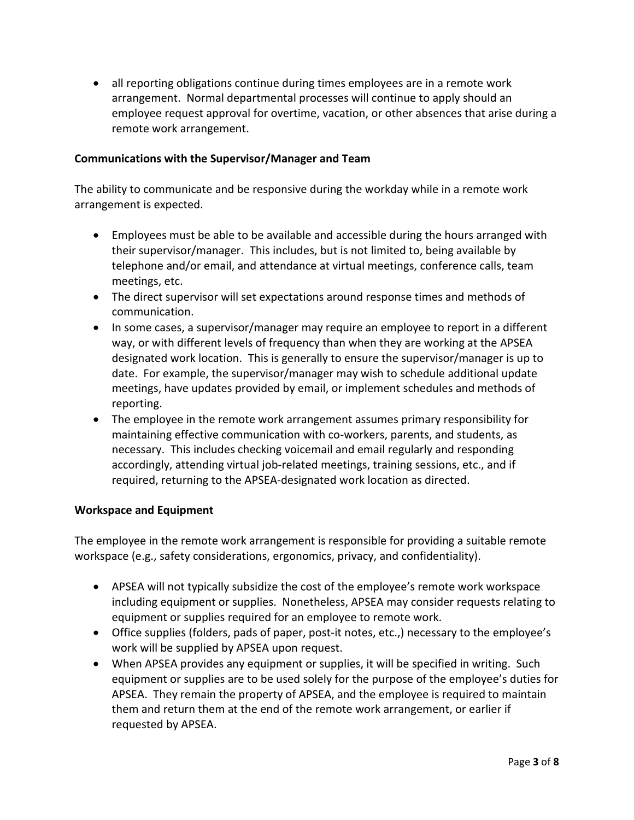• all reporting obligations continue during times employees are in a remote work arrangement. Normal departmental processes will continue to apply should an employee request approval for overtime, vacation, or other absences that arise during a remote work arrangement.

### **Communications with the Supervisor/Manager and Team**

The ability to communicate and be responsive during the workday while in a remote work arrangement is expected.

- Employees must be able to be available and accessible during the hours arranged with their supervisor/manager. This includes, but is not limited to, being available by telephone and/or email, and attendance at virtual meetings, conference calls, team meetings, etc.
- The direct supervisor will set expectations around response times and methods of communication.
- In some cases, a supervisor/manager may require an employee to report in a different way, or with different levels of frequency than when they are working at the APSEA designated work location. This is generally to ensure the supervisor/manager is up to date. For example, the supervisor/manager may wish to schedule additional update meetings, have updates provided by email, or implement schedules and methods of reporting.
- The employee in the remote work arrangement assumes primary responsibility for maintaining effective communication with co-workers, parents, and students, as necessary. This includes checking voicemail and email regularly and responding accordingly, attending virtual job-related meetings, training sessions, etc., and if required, returning to the APSEA-designated work location as directed.

### **Workspace and Equipment**

The employee in the remote work arrangement is responsible for providing a suitable remote workspace (e.g., safety considerations, ergonomics, privacy, and confidentiality).

- APSEA will not typically subsidize the cost of the employee's remote work workspace including equipment or supplies. Nonetheless, APSEA may consider requests relating to equipment or supplies required for an employee to remote work.
- Office supplies (folders, pads of paper, post-it notes, etc.,) necessary to the employee's work will be supplied by APSEA upon request.
- When APSEA provides any equipment or supplies, it will be specified in writing. Such equipment or supplies are to be used solely for the purpose of the employee's duties for APSEA. They remain the property of APSEA, and the employee is required to maintain them and return them at the end of the remote work arrangement, or earlier if requested by APSEA.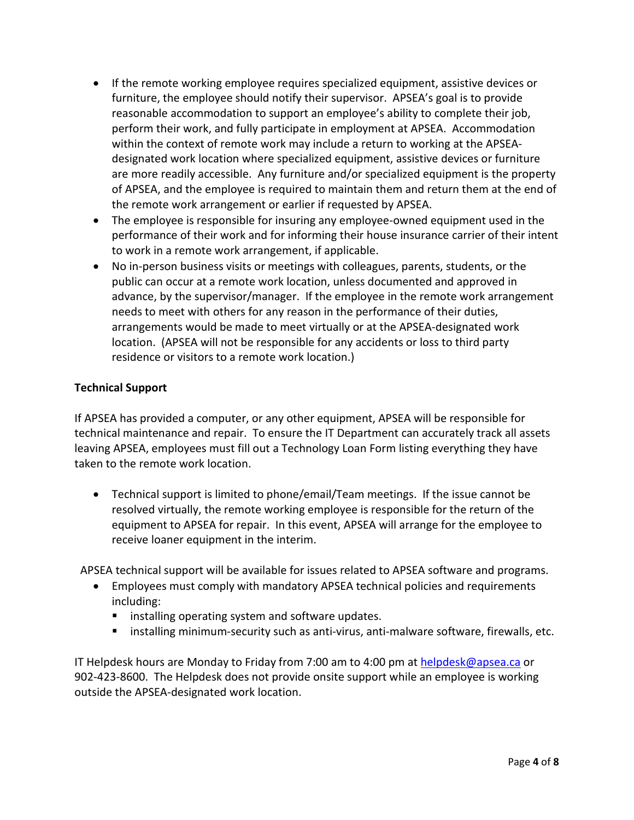- If the remote working employee requires specialized equipment, assistive devices or furniture, the employee should notify their supervisor. APSEA's goal is to provide reasonable accommodation to support an employee's ability to complete their job, perform their work, and fully participate in employment at APSEA. Accommodation within the context of remote work may include a return to working at the APSEAdesignated work location where specialized equipment, assistive devices or furniture are more readily accessible. Any furniture and/or specialized equipment is the property of APSEA, and the employee is required to maintain them and return them at the end of the remote work arrangement or earlier if requested by APSEA.
- The employee is responsible for insuring any employee-owned equipment used in the performance of their work and for informing their house insurance carrier of their intent to work in a remote work arrangement, if applicable.
- No in-person business visits or meetings with colleagues, parents, students, or the public can occur at a remote work location, unless documented and approved in advance, by the supervisor/manager. If the employee in the remote work arrangement needs to meet with others for any reason in the performance of their duties, arrangements would be made to meet virtually or at the APSEA-designated work location. (APSEA will not be responsible for any accidents or loss to third party residence or visitors to a remote work location.)

# **Technical Support**

If APSEA has provided a computer, or any other equipment, APSEA will be responsible for technical maintenance and repair. To ensure the IT Department can accurately track all assets leaving APSEA, employees must fill out a Technology Loan Form listing everything they have taken to the remote work location.

• Technical support is limited to phone/email/Team meetings. If the issue cannot be resolved virtually, the remote working employee is responsible for the return of the equipment to APSEA for repair. In this event, APSEA will arrange for the employee to receive loaner equipment in the interim.

APSEA technical support will be available for issues related to APSEA software and programs.

- Employees must comply with mandatory APSEA technical policies and requirements including:
	- **E** installing operating system and software updates.
	- **If** installing minimum-security such as anti-virus, anti-malware software, firewalls, etc.

IT Helpdesk hours are Monday to Friday from 7:00 am to 4:00 pm at [helpdesk@apsea.ca](mailto:helpdesk@apsea.ca) or 902-423-8600. The Helpdesk does not provide onsite support while an employee is working outside the APSEA-designated work location.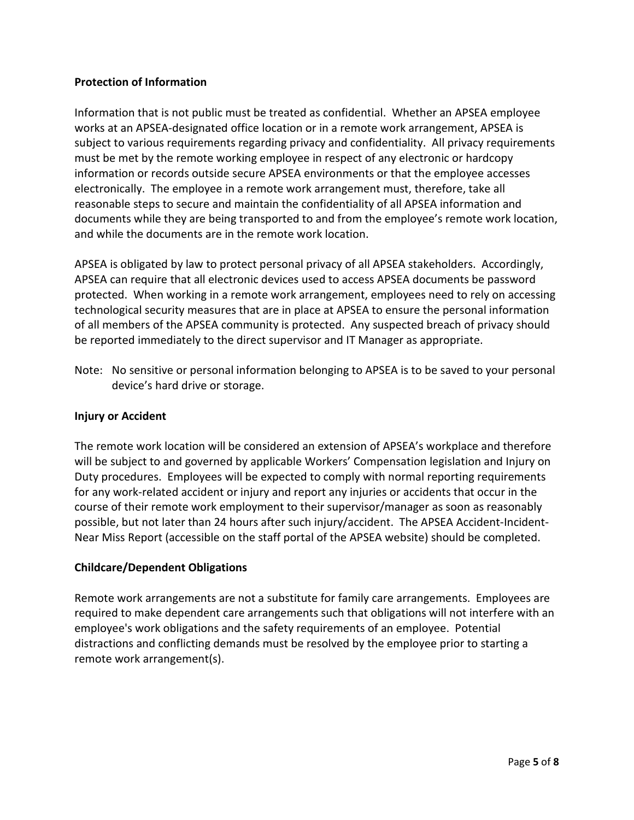# **Protection of Information**

Information that is not public must be treated as confidential. Whether an APSEA employee works at an APSEA-designated office location or in a remote work arrangement, APSEA is subject to various requirements regarding privacy and confidentiality. All privacy requirements must be met by the remote working employee in respect of any electronic or hardcopy information or records outside secure APSEA environments or that the employee accesses electronically. The employee in a remote work arrangement must, therefore, take all reasonable steps to secure and maintain the confidentiality of all APSEA information and documents while they are being transported to and from the employee's remote work location, and while the documents are in the remote work location.

APSEA is obligated by law to protect personal privacy of all APSEA stakeholders. Accordingly, APSEA can require that all electronic devices used to access APSEA documents be password protected. When working in a remote work arrangement, employees need to rely on accessing technological security measures that are in place at APSEA to ensure the personal information of all members of the APSEA community is protected. Any suspected breach of privacy should be reported immediately to the direct supervisor and IT Manager as appropriate.

Note: No sensitive or personal information belonging to APSEA is to be saved to your personal device's hard drive or storage.

### **Injury or Accident**

The remote work location will be considered an extension of APSEA's workplace and therefore will be subject to and governed by applicable Workers' Compensation legislation and Injury on Duty procedures. Employees will be expected to comply with normal reporting requirements for any work-related accident or injury and report any injuries or accidents that occur in the course of their remote work employment to their supervisor/manager as soon as reasonably possible, but not later than 24 hours after such injury/accident. The APSEA Accident-Incident-Near Miss Report (accessible on the staff portal of the APSEA website) should be completed.

### **Childcare/Dependent Obligations**

Remote work arrangements are not a substitute for family care arrangements.  Employees are required to make dependent care arrangements such that obligations will not interfere with an employee's work obligations and the safety requirements of an employee.  Potential distractions and conflicting demands must be resolved by the employee prior to starting a remote work arrangement(s).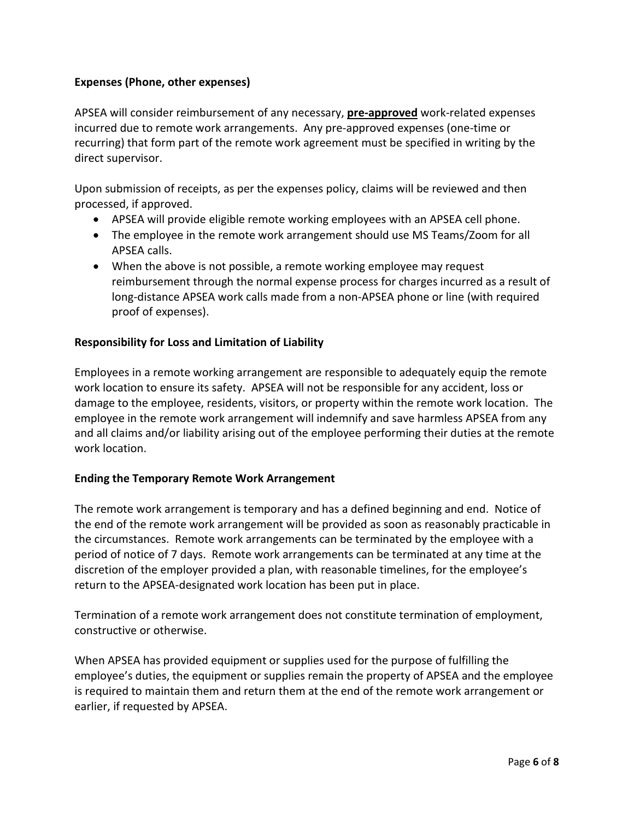### **Expenses (Phone, other expenses)**

APSEA will consider reimbursement of any necessary, **pre-approved** work-related expenses incurred due to remote work arrangements. Any pre-approved expenses (one-time or recurring) that form part of the remote work agreement must be specified in writing by the direct supervisor.

Upon submission of receipts, as per the expenses policy, claims will be reviewed and then processed, if approved.

- APSEA will provide eligible remote working employees with an APSEA cell phone.
- The employee in the remote work arrangement should use MS Teams/Zoom for all APSEA calls.
- When the above is not possible, a remote working employee may request reimbursement through the normal expense process for charges incurred as a result of long-distance APSEA work calls made from a non-APSEA phone or line (with required proof of expenses).

### **Responsibility for Loss and Limitation of Liability**

Employees in a remote working arrangement are responsible to adequately equip the remote work location to ensure its safety. APSEA will not be responsible for any accident, loss or damage to the employee, residents, visitors, or property within the remote work location. The employee in the remote work arrangement will indemnify and save harmless APSEA from any and all claims and/or liability arising out of the employee performing their duties at the remote work location.

### **Ending the Temporary Remote Work Arrangement**

The remote work arrangement is temporary and has a defined beginning and end. Notice of the end of the remote work arrangement will be provided as soon as reasonably practicable in the circumstances. Remote work arrangements can be terminated by the employee with a period of notice of 7 days. Remote work arrangements can be terminated at any time at the discretion of the employer provided a plan, with reasonable timelines, for the employee's return to the APSEA-designated work location has been put in place.

Termination of a remote work arrangement does not constitute termination of employment, constructive or otherwise.

When APSEA has provided equipment or supplies used for the purpose of fulfilling the employee's duties, the equipment or supplies remain the property of APSEA and the employee is required to maintain them and return them at the end of the remote work arrangement or earlier, if requested by APSEA.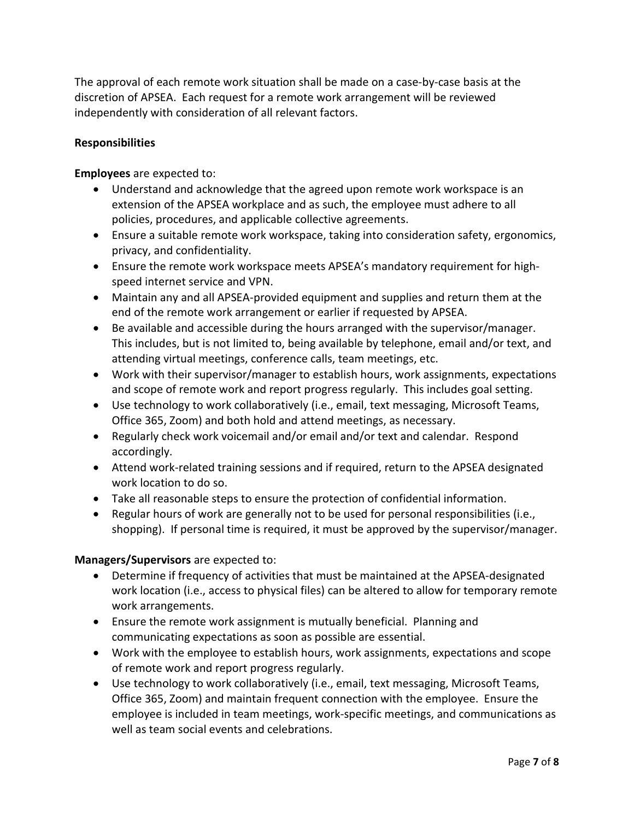The approval of each remote work situation shall be made on a case-by-case basis at the discretion of APSEA. Each request for a remote work arrangement will be reviewed independently with consideration of all relevant factors.

# **Responsibilities**

**Employees** are expected to:

- Understand and acknowledge that the agreed upon remote work workspace is an extension of the APSEA workplace and as such, the employee must adhere to all policies, procedures, and applicable collective agreements.
- Ensure a suitable remote work workspace, taking into consideration safety, ergonomics, privacy, and confidentiality.
- Ensure the remote work workspace meets APSEA's mandatory requirement for highspeed internet service and VPN.
- Maintain any and all APSEA-provided equipment and supplies and return them at the end of the remote work arrangement or earlier if requested by APSEA.
- Be available and accessible during the hours arranged with the supervisor/manager. This includes, but is not limited to, being available by telephone, email and/or text, and attending virtual meetings, conference calls, team meetings, etc.
- Work with their supervisor/manager to establish hours, work assignments, expectations and scope of remote work and report progress regularly. This includes goal setting.
- Use technology to work collaboratively (i.e., email, text messaging, Microsoft Teams, Office 365, Zoom) and both hold and attend meetings, as necessary.
- Regularly check work voicemail and/or email and/or text and calendar. Respond accordingly.
- Attend work-related training sessions and if required, return to the APSEA designated work location to do so.
- Take all reasonable steps to ensure the protection of confidential information.
- Regular hours of work are generally not to be used for personal responsibilities (i.e., shopping). If personal time is required, it must be approved by the supervisor/manager.

### **Managers/Supervisors** are expected to:

- Determine if frequency of activities that must be maintained at the APSEA-designated work location (i.e., access to physical files) can be altered to allow for temporary remote work arrangements.
- Ensure the remote work assignment is mutually beneficial. Planning and communicating expectations as soon as possible are essential.
- Work with the employee to establish hours, work assignments, expectations and scope of remote work and report progress regularly.
- Use technology to work collaboratively (i.e., email, text messaging, Microsoft Teams, Office 365, Zoom) and maintain frequent connection with the employee. Ensure the employee is included in team meetings, work-specific meetings, and communications as well as team social events and celebrations.